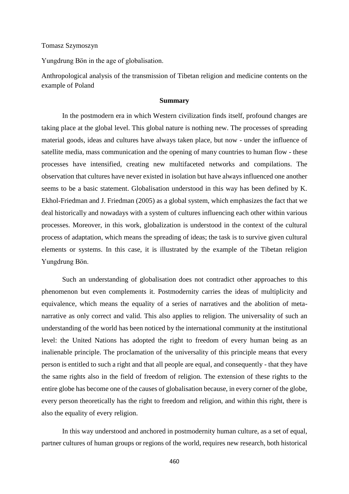Tomasz Szymoszyn

Yungdrung Bön in the age of globalisation.

Anthropological analysis of the transmission of Tibetan religion and medicine contents on the example of Poland

## **Summary**

In the postmodern era in which Western civilization finds itself, profound changes are taking place at the global level. This global nature is nothing new. The processes of spreading material goods, ideas and cultures have always taken place, but now - under the influence of satellite media, mass communication and the opening of many countries to human flow - these processes have intensified, creating new multifaceted networks and compilations. The observation that cultures have never existed in isolation but have always influenced one another seems to be a basic statement. Globalisation understood in this way has been defined by K. Ekhol-Friedman and J. Friedman (2005) as a global system, which emphasizes the fact that we deal historically and nowadays with a system of cultures influencing each other within various processes. Moreover, in this work, globalization is understood in the context of the cultural process of adaptation, which means the spreading of ideas; the task is to survive given cultural elements or systems. In this case, it is illustrated by the example of the Tibetan religion Yungdrung Bön.

Such an understanding of globalisation does not contradict other approaches to this phenomenon but even complements it. Postmodernity carries the ideas of multiplicity and equivalence, which means the equality of a series of narratives and the abolition of metanarrative as only correct and valid. This also applies to religion. The universality of such an understanding of the world has been noticed by the international community at the institutional level: the United Nations has adopted the right to freedom of every human being as an inalienable principle. The proclamation of the universality of this principle means that every person is entitled to such a right and that all people are equal, and consequently - that they have the same rights also in the field of freedom of religion. The extension of these rights to the entire globe has become one of the causes of globalisation because, in every corner of the globe, every person theoretically has the right to freedom and religion, and within this right, there is also the equality of every religion.

In this way understood and anchored in postmodernity human culture, as a set of equal, partner cultures of human groups or regions of the world, requires new research, both historical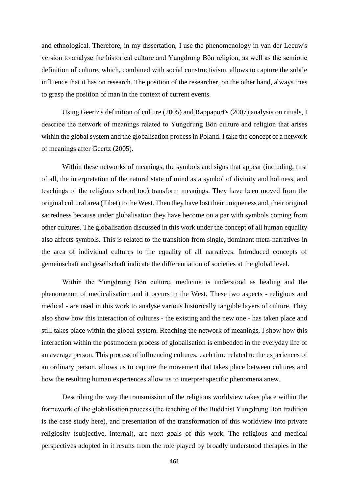and ethnological. Therefore, in my dissertation, I use the phenomenology in van der Leeuw's version to analyse the historical culture and Yungdrung Bön religion, as well as the semiotic definition of culture, which, combined with social constructivism, allows to capture the subtle influence that it has on research. The position of the researcher, on the other hand, always tries to grasp the position of man in the context of current events.

Using Geertz's definition of culture (2005) and Rappaport's (2007) analysis on rituals, I describe the network of meanings related to Yungdrung Bön culture and religion that arises within the global system and the globalisation process in Poland. I take the concept of a network of meanings after Geertz (2005).

Within these networks of meanings, the symbols and signs that appear (including, first of all, the interpretation of the natural state of mind as a symbol of divinity and holiness, and teachings of the religious school too) transform meanings. They have been moved from the original cultural area (Tibet) to the West. Then they have lost their uniqueness and, their original sacredness because under globalisation they have become on a par with symbols coming from other cultures. The globalisation discussed in this work under the concept of all human equality also affects symbols. This is related to the transition from single, dominant meta-narratives in the area of individual cultures to the equality of all narratives. Introduced concepts of gemeinschaft and gesellschaft indicate the differentiation of societies at the global level.

Within the Yungdrung Bön culture, medicine is understood as healing and the phenomenon of medicalisation and it occurs in the West. These two aspects - religious and medical - are used in this work to analyse various historically tangible layers of culture. They also show how this interaction of cultures - the existing and the new one - has taken place and still takes place within the global system. Reaching the network of meanings, I show how this interaction within the postmodern process of globalisation is embedded in the everyday life of an average person. This process of influencing cultures, each time related to the experiences of an ordinary person, allows us to capture the movement that takes place between cultures and how the resulting human experiences allow us to interpret specific phenomena anew.

Describing the way the transmission of the religious worldview takes place within the framework of the globalisation process (the teaching of the Buddhist Yungdrung Bön tradition is the case study here), and presentation of the transformation of this worldview into private religiosity (subjective, internal), are next goals of this work. The religious and medical perspectives adopted in it results from the role played by broadly understood therapies in the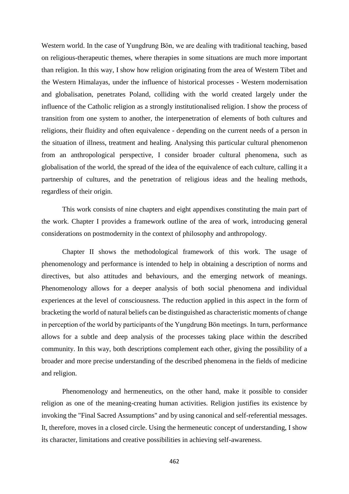Western world. In the case of Yungdrung Bön, we are dealing with traditional teaching, based on religious-therapeutic themes, where therapies in some situations are much more important than religion. In this way, I show how religion originating from the area of Western Tibet and the Western Himalayas, under the influence of historical processes - Western modernisation and globalisation, penetrates Poland, colliding with the world created largely under the influence of the Catholic religion as a strongly institutionalised religion. I show the process of transition from one system to another, the interpenetration of elements of both cultures and religions, their fluidity and often equivalence - depending on the current needs of a person in the situation of illness, treatment and healing. Analysing this particular cultural phenomenon from an anthropological perspective, I consider broader cultural phenomena, such as globalisation of the world, the spread of the idea of the equivalence of each culture, calling it a partnership of cultures, and the penetration of religious ideas and the healing methods, regardless of their origin.

This work consists of nine chapters and eight appendixes constituting the main part of the work. Chapter I provides a framework outline of the area of work, introducing general considerations on postmodernity in the context of philosophy and anthropology.

Chapter II shows the methodological framework of this work. The usage of phenomenology and performance is intended to help in obtaining a description of norms and directives, but also attitudes and behaviours, and the emerging network of meanings. Phenomenology allows for a deeper analysis of both social phenomena and individual experiences at the level of consciousness. The reduction applied in this aspect in the form of bracketing the world of natural beliefs can be distinguished as characteristic moments of change in perception of the world by participants of the Yungdrung Bön meetings. In turn, performance allows for a subtle and deep analysis of the processes taking place within the described community. In this way, both descriptions complement each other, giving the possibility of a broader and more precise understanding of the described phenomena in the fields of medicine and religion.

Phenomenology and hermeneutics, on the other hand, make it possible to consider religion as one of the meaning-creating human activities. Religion justifies its existence by invoking the "Final Sacred Assumptions" and by using canonical and self-referential messages. It, therefore, moves in a closed circle. Using the hermeneutic concept of understanding, I show its character, limitations and creative possibilities in achieving self-awareness.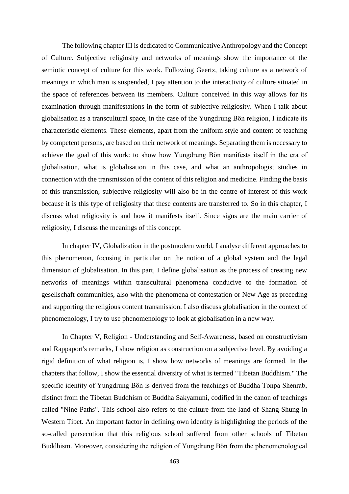The following chapter III is dedicated to Communicative Anthropology and the Concept of Culture. Subjective religiosity and networks of meanings show the importance of the semiotic concept of culture for this work. Following Geertz, taking culture as a network of meanings in which man is suspended, I pay attention to the interactivity of culture situated in the space of references between its members. Culture conceived in this way allows for its examination through manifestations in the form of subjective religiosity. When I talk about globalisation as a transcultural space, in the case of the Yungdrung Bön religion, I indicate its characteristic elements. These elements, apart from the uniform style and content of teaching by competent persons, are based on their network of meanings. Separating them is necessary to achieve the goal of this work: to show how Yungdrung Bön manifests itself in the era of globalisation, what is globalisation in this case, and what an anthropologist studies in connection with the transmission of the content of this religion and medicine. Finding the basis of this transmission, subjective religiosity will also be in the centre of interest of this work because it is this type of religiosity that these contents are transferred to. So in this chapter, I discuss what religiosity is and how it manifests itself. Since signs are the main carrier of religiosity, I discuss the meanings of this concept.

In chapter IV, Globalization in the postmodern world, I analyse different approaches to this phenomenon, focusing in particular on the notion of a global system and the legal dimension of globalisation. In this part, I define globalisation as the process of creating new networks of meanings within transcultural phenomena conducive to the formation of gesellschaft communities, also with the phenomena of contestation or New Age as preceding and supporting the religious content transmission. I also discuss globalisation in the context of phenomenology, I try to use phenomenology to look at globalisation in a new way.

In Chapter V, Religion - Understanding and Self-Awareness, based on constructivism and Rappaport's remarks, I show religion as construction on a subjective level. By avoiding a rigid definition of what religion is, I show how networks of meanings are formed. In the chapters that follow, I show the essential diversity of what is termed "Tibetan Buddhism." The specific identity of Yungdrung Bön is derived from the teachings of Buddha Tonpa Shenrab, distinct from the Tibetan Buddhism of Buddha Sakyamuni, codified in the canon of teachings called "Nine Paths". This school also refers to the culture from the land of Shang Shung in Western Tibet. An important factor in defining own identity is highlighting the periods of the so-called persecution that this religious school suffered from other schools of Tibetan Buddhism. Moreover, considering the religion of Yungdrung Bön from the phenomenological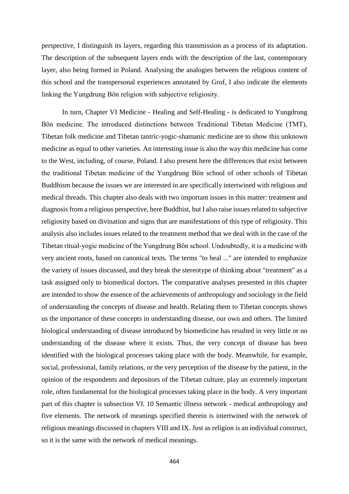perspective, I distinguish its layers, regarding this transmission as a process of its adaptation. The description of the subsequent layers ends with the description of the last, contemporary layer, also being formed in Poland. Analysing the analogies between the religious content of this school and the transpersonal experiences annotated by Grof, I also indicate the elements linking the Yungdrung Bön religion with subjective religiosity.

In turn, Chapter VI Medicine - Healing and Self-Healing - is dedicated to Yungdrung Bön medicine. The introduced distinctions between Traditional Tibetan Medicine (TMT), Tibetan folk medicine and Tibetan tantric-yogic-shamanic medicine are to show this unknown medicine as equal to other varieties. An interesting issue is also the way this medicine has come to the West, including, of course, Poland. I also present here the differences that exist between the traditional Tibetan medicine of the Yungdrung Bön school of other schools of Tibetan Buddhism because the issues we are interested in are specifically intertwined with religious and medical threads. This chapter also deals with two important issues in this matter: treatment and diagnosis from a religious perspective, here Buddhist, but I also raise issues related to subjective religiosity based on divination and signs that are manifestations of this type of religiosity. This analysis also includes issues related to the treatment method that we deal with in the case of the Tibetan ritual-yogic medicine of the Yungdrung Bön school. Undoubtedly, it is a medicine with very ancient roots, based on canonical texts. The terms "to heal ..." are intended to emphasize the variety of issues discussed, and they break the stereotype of thinking about "treatment" as a task assigned only to biomedical doctors. The comparative analyses presented in this chapter are intended to show the essence of the achievements of anthropology and sociology in the field of understanding the concepts of disease and health. Relating them to Tibetan concepts shows us the importance of these concepts in understanding disease, our own and others. The limited biological understanding of disease introduced by biomedicine has resulted in very little or no understanding of the disease where it exists. Thus, the very concept of disease has been identified with the biological processes taking place with the body. Meanwhile, for example, social, professional, family relations, or the very perception of the disease by the patient, in the opinion of the respondents and depositors of the Tibetan culture, play an extremely important role, often fundamental for the biological processes taking place in the body. A very important part of this chapter is subsection VI. 10 Semantic illness network - medical anthropology and five elements. The network of meanings specified therein is intertwined with the network of religious meanings discussed in chapters VIII and IX. Just as religion is an individual construct, so it is the same with the network of medical meanings.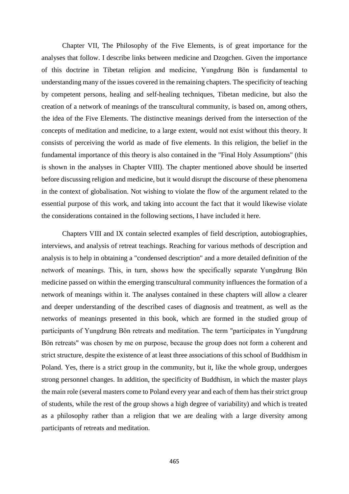Chapter VII, The Philosophy of the Five Elements, is of great importance for the analyses that follow. I describe links between medicine and Dzogchen. Given the importance of this doctrine in Tibetan religion and medicine, Yungdrung Bön is fundamental to understanding many of the issues covered in the remaining chapters. The specificity of teaching by competent persons, healing and self-healing techniques, Tibetan medicine, but also the creation of a network of meanings of the transcultural community, is based on, among others, the idea of the Five Elements. The distinctive meanings derived from the intersection of the concepts of meditation and medicine, to a large extent, would not exist without this theory. It consists of perceiving the world as made of five elements. In this religion, the belief in the fundamental importance of this theory is also contained in the "Final Holy Assumptions" (this is shown in the analyses in Chapter VIII). The chapter mentioned above should be inserted before discussing religion and medicine, but it would disrupt the discourse of these phenomena in the context of globalisation. Not wishing to violate the flow of the argument related to the essential purpose of this work, and taking into account the fact that it would likewise violate the considerations contained in the following sections, I have included it here.

Chapters VIII and IX contain selected examples of field description, autobiographies, interviews, and analysis of retreat teachings. Reaching for various methods of description and analysis is to help in obtaining a "condensed description" and a more detailed definition of the network of meanings. This, in turn, shows how the specifically separate Yungdrung Bön medicine passed on within the emerging transcultural community influences the formation of a network of meanings within it. The analyses contained in these chapters will allow a clearer and deeper understanding of the described cases of diagnosis and treatment, as well as the networks of meanings presented in this book, which are formed in the studied group of participants of Yungdrung Bön retreats and meditation. The term "participates in Yungdrung Bön retreats" was chosen by me on purpose, because the group does not form a coherent and strict structure, despite the existence of at least three associations of this school of Buddhism in Poland. Yes, there is a strict group in the community, but it, like the whole group, undergoes strong personnel changes. In addition, the specificity of Buddhism, in which the master plays the main role (several masters come to Poland every year and each of them has their strict group of students, while the rest of the group shows a high degree of variability) and which is treated as a philosophy rather than a religion that we are dealing with a large diversity among participants of retreats and meditation.